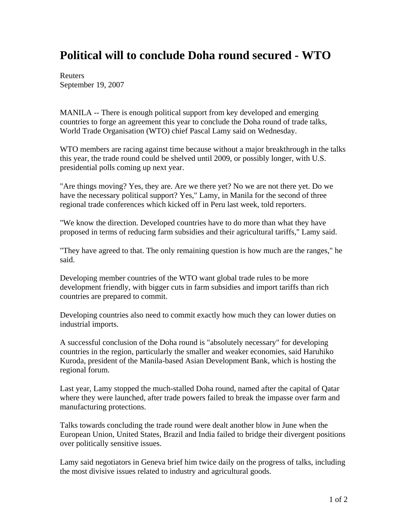## **Political will to conclude Doha round secured - WTO**

Reuters September 19, 2007

MANILA -- There is enough political support from key developed and emerging countries to forge an agreement this year to conclude the Doha round of trade talks, World Trade Organisation (WTO) chief Pascal Lamy said on Wednesday.

WTO members are racing against time because without a major breakthrough in the talks this year, the trade round could be shelved until 2009, or possibly longer, with U.S. presidential polls coming up next year.

"Are things moving? Yes, they are. Are we there yet? No we are not there yet. Do we have the necessary political support? Yes," Lamy, in Manila for the second of three regional trade conferences which kicked off in Peru last week, told reporters.

"We know the direction. Developed countries have to do more than what they have proposed in terms of reducing farm subsidies and their agricultural tariffs," Lamy said.

"They have agreed to that. The only remaining question is how much are the ranges," he said.

Developing member countries of the WTO want global trade rules to be more development friendly, with bigger cuts in farm subsidies and import tariffs than rich countries are prepared to commit.

Developing countries also need to commit exactly how much they can lower duties on industrial imports.

A successful conclusion of the Doha round is "absolutely necessary" for developing countries in the region, particularly the smaller and weaker economies, said Haruhiko Kuroda, president of the Manila-based Asian Development Bank, which is hosting the regional forum.

Last year, Lamy stopped the much-stalled Doha round, named after the capital of Qatar where they were launched, after trade powers failed to break the impasse over farm and manufacturing protections.

Talks towards concluding the trade round were dealt another blow in June when the European Union, United States, Brazil and India failed to bridge their divergent positions over politically sensitive issues.

Lamy said negotiators in Geneva brief him twice daily on the progress of talks, including the most divisive issues related to industry and agricultural goods.